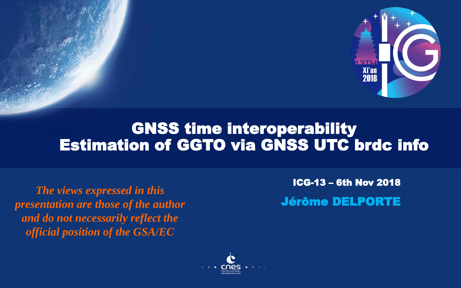

# GNSS time interoperability Estimation of GGTO via GNSS UTC brdc info

*The views expressed in this presentation are those of the author and do not necessarily reflect the official position of the GSA/EC*

ICG-13 – 6th Nov 2018 Jérôme DELPORTE

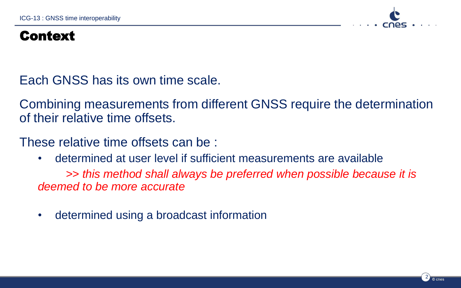

### Context

Each GNSS has its own time scale.

Combining measurements from different GNSS require the determination of their relative time offsets.

These relative time offsets can be :

• determined at user level if sufficient measurements are available

*>> this method shall always be preferred when possible because it is deemed to be more accurate*

• determined using a broadcast information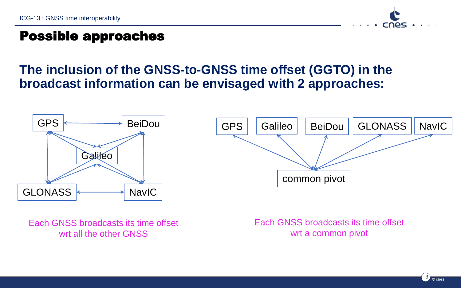

### Possible approaches

## **The inclusion of the GNSS-to-GNSS time offset (GGTO) in the broadcast information can be envisaged with 2 approaches:**



Each GNSS broadcasts its time offset wrt all the other GNSS

Each GNSS broadcasts its time offset wrt a common pivot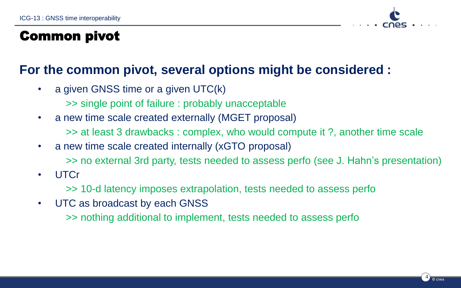

#### Common pivot

### **For the common pivot, several options might be considered :**

- a given GNSS time or a given UTC(k)
	- >> single point of failure : probably unacceptable
- a new time scale created externally (MGET proposal)
	- >> at least 3 drawbacks : complex, who would compute it ?, another time scale
- a new time scale created internally (xGTO proposal)
	- >> no external 3rd party, tests needed to assess perfo (see J. Hahn's presentation)
- UTCr
	- >> 10-d latency imposes extrapolation, tests needed to assess perfo
- UTC as broadcast by each GNSS
	- >> nothing additional to implement, tests needed to assess perfo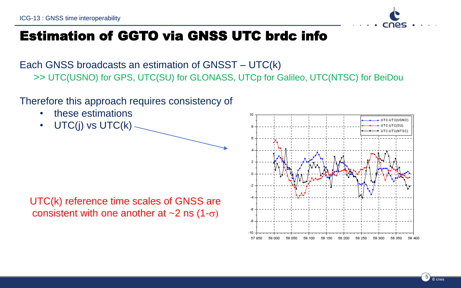

Each GNSS broadcasts an estimation of GNSST – UTC(k) >> UTC(USNO) for GPS, UTC(SU) for GLONASS, UTCp for Galileo, UTC(NTSC) for BeiDou

Therefore this approach requires consistency of

- these estimations
- UTC(j) vs UTC(k)

UTC(k) reference time scales of GNSS are consistent with one another at  $\sim$ 2 ns (1- $\sigma$ )

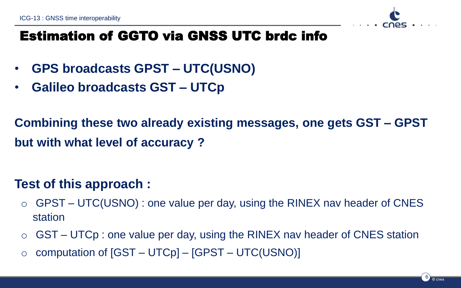

- **GPS broadcasts GPST – UTC(USNO)**
- **Galileo broadcasts GST – UTCp**

**Combining these two already existing messages, one gets GST – GPST but with what level of accuracy ?**

# **Test of this approach :**

- $\circ$  GPST UTC(USNO) : one value per day, using the RINEX nav header of CNES station
- $\circ$  GST UTCp : one value per day, using the RINEX nav header of CNES station
- $\circ$  computation of  $[GST UTCp] [GPST UTC(USNO)]$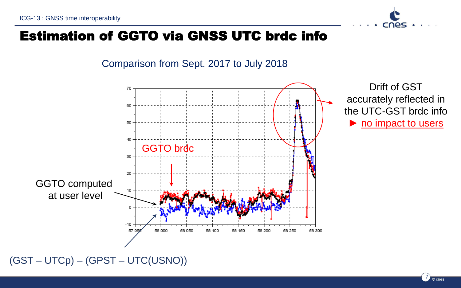Comparison from Sept. 2017 to July 2018



(GST – UTCp) – (GPST – UTC(USNO))

cnes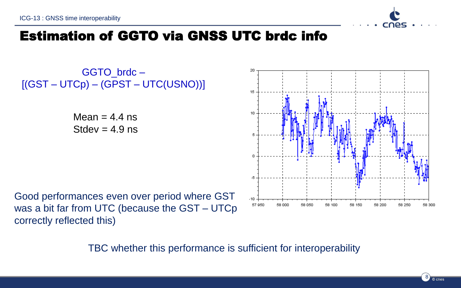

GGTO\_brdc –  $[(GST - UTCp) - (GPST - UTC(USNO))]$ 

> Mean  $= 4.4$  ns  $Stdev = 4.9$  ns

Good performances even over period where GST was a bit far from UTC (because the GST – UTCp correctly reflected this)

TBC whether this performance is sufficient for interoperability

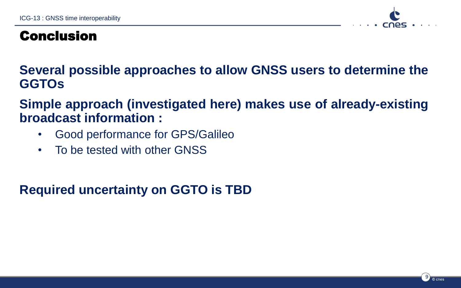

## Conclusion

**Several possible approaches to allow GNSS users to determine the GGTOs**

**Simple approach (investigated here) makes use of already-existing broadcast information :**

- Good performance for GPS/Galileo
- To be tested with other GNSS

**Required uncertainty on GGTO is TBD**